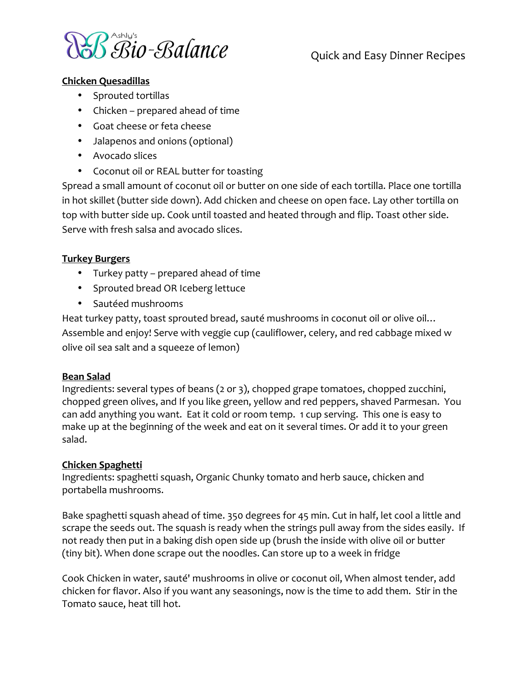

# Quick and Easy Dinner Recipes

#### **Chicken Quesadillas**

- Sprouted tortillas
- Chicken prepared ahead of time
- Goat cheese or feta cheese
- Jalapenos and onions (optional)
- Avocado slices
- Coconut oil or REAL butter for toasting

Spread a small amount of coconut oil or butter on one side of each tortilla. Place one tortilla in hot skillet (butter side down). Add chicken and cheese on open face. Lay other tortilla on top with butter side up. Cook until toasted and heated through and flip. Toast other side. Serve with fresh salsa and avocado slices.

#### **Turkey Burgers**

- Turkey patty prepared ahead of time
- Sprouted bread OR Iceberg lettuce
- Sautéed mushrooms

Heat turkey patty, toast sprouted bread, sauté mushrooms in coconut oil or olive oil... Assemble and enjoy! Serve with veggie cup (cauliflower, celery, and red cabbage mixed w olive oil sea salt and a squeeze of lemon)

#### **Bean Salad**

Ingredients: several types of beans (2 or 3), chopped grape tomatoes, chopped zucchini, chopped green olives, and If you like green, yellow and red peppers, shaved Parmesan. You can add anything you want. Eat it cold or room temp. 1 cup serving. This one is easy to make up at the beginning of the week and eat on it several times. Or add it to your green salad.

#### **Chicken Spaghetti**

Ingredients: spaghetti squash, Organic Chunky tomato and herb sauce, chicken and portabella mushrooms.

Bake spaghetti squash ahead of time. 350 degrees for 45 min. Cut in half, let cool a little and scrape the seeds out. The squash is ready when the strings pull away from the sides easily. If not ready then put in a baking dish open side up (brush the inside with olive oil or butter (tiny bit). When done scrape out the noodles. Can store up to a week in fridge

Cook Chicken in water, sauté' mushrooms in olive or coconut oil, When almost tender, add chicken for flavor. Also if you want any seasonings, now is the time to add them. Stir in the Tomato sauce, heat till hot.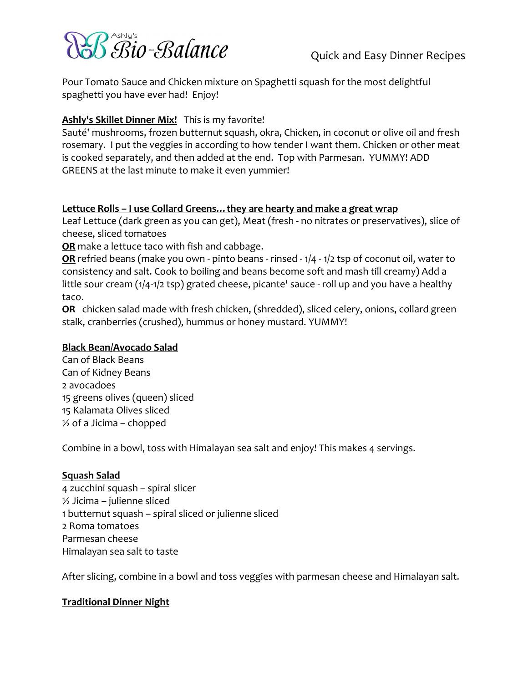

Pour Tomato Sauce and Chicken mixture on Spaghetti squash for the most delightful spaghetti you have ever had! Enjoy!

## Ashly's Skillet Dinner Mix! This is my favorite!

Sauté' mushrooms, frozen butternut squash, okra, Chicken, in coconut or olive oil and fresh rosemary. I put the veggies in according to how tender I want them. Chicken or other meat is cooked separately, and then added at the end. Top with Parmesan. YUMMY! ADD GREENS at the last minute to make it even yummier!

#### Lettuce Rolls - I use Collard Greens... they are hearty and make a great wrap

Leaf Lettuce (dark green as you can get), Meat (fresh - no nitrates or preservatives), slice of cheese, sliced tomatoes

OR make a lettuce taco with fish and cabbage.

OR refried beans (make you own - pinto beans - rinsed - 1/4 - 1/2 tsp of coconut oil, water to consistency and salt. Cook to boiling and beans become soft and mash till creamy) Add a little sour cream (1/4-1/2 tsp) grated cheese, picante' sauce - roll up and you have a healthy taco.

OR chicken salad made with fresh chicken, (shredded), sliced celery, onions, collard green stalk, cranberries (crushed), hummus or honey mustard. YUMMY!

#### **Black Bean/Avocado Salad**

Can of Black Beans Can of Kidney Beans 2 avocadoes 15 greens olives (queen) sliced 15 Kalamata Olives sliced  $\frac{1}{2}$  of a Jicima – chopped

Combine in a bowl, toss with Himalayan sea salt and enjoy! This makes 4 servings.

#### **Squash Salad**

4 zucchini squash - spiral slicer  $\frac{1}{2}$  Jicima – julienne sliced 1 butternut squash - spiral sliced or julienne sliced 2 Roma tomatoes Parmesan cheese Himalayan sea salt to taste

After slicing, combine in a bowl and toss veggies with parmesan cheese and Himalayan salt.

#### **Traditional Dinner Night**